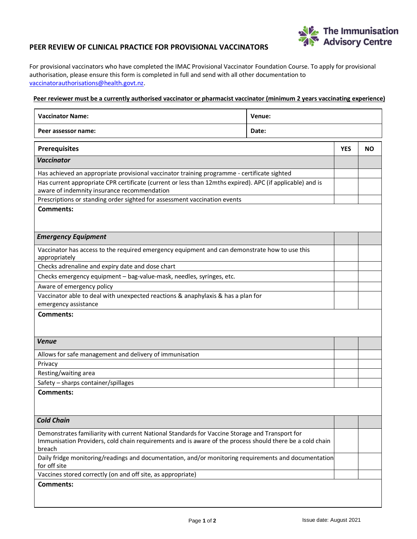

## **PEER REVIEW OF CLINICAL PRACTICE FOR PROVISIONAL VACCINATORS**

For provisional vaccinators who have completed the IMAC Provisional Vaccinator Foundation Course. To apply for provisional authorisation, please ensure this form is completed in full and send with all other documentation to [vaccinatorauthorisations@health.govt.nz.](mailto:vaccinatorauthorisations@health.govt.nz)

## **Peer reviewer must be a currently authorised vaccinator or pharmacist vaccinator (minimum 2 years vaccinating experience)**

| <b>Vaccinator Name:</b>                                                                                                                                                                                              | Venue: |            |           |  |
|----------------------------------------------------------------------------------------------------------------------------------------------------------------------------------------------------------------------|--------|------------|-----------|--|
| Peer assessor name:                                                                                                                                                                                                  | Date:  |            |           |  |
|                                                                                                                                                                                                                      |        |            |           |  |
| <b>Prerequisites</b>                                                                                                                                                                                                 |        | <b>YES</b> | <b>NO</b> |  |
| <b>Vaccinator</b>                                                                                                                                                                                                    |        |            |           |  |
| Has achieved an appropriate provisional vaccinator training programme - certificate sighted                                                                                                                          |        |            |           |  |
| Has current appropriate CPR certificate (current or less than 12mths expired). APC (if applicable) and is<br>aware of indemnity insurance recommendation                                                             |        |            |           |  |
| Prescriptions or standing order sighted for assessment vaccination events                                                                                                                                            |        |            |           |  |
| <b>Comments:</b>                                                                                                                                                                                                     |        |            |           |  |
| <b>Emergency Equipment</b>                                                                                                                                                                                           |        |            |           |  |
| Vaccinator has access to the required emergency equipment and can demonstrate how to use this<br>appropriately                                                                                                       |        |            |           |  |
| Checks adrenaline and expiry date and dose chart                                                                                                                                                                     |        |            |           |  |
| Checks emergency equipment - bag-value-mask, needles, syringes, etc.                                                                                                                                                 |        |            |           |  |
| Aware of emergency policy                                                                                                                                                                                            |        |            |           |  |
| Vaccinator able to deal with unexpected reactions & anaphylaxis & has a plan for                                                                                                                                     |        |            |           |  |
| emergency assistance                                                                                                                                                                                                 |        |            |           |  |
| <b>Comments:</b>                                                                                                                                                                                                     |        |            |           |  |
| <b>Venue</b>                                                                                                                                                                                                         |        |            |           |  |
| Allows for safe management and delivery of immunisation                                                                                                                                                              |        |            |           |  |
| Privacy                                                                                                                                                                                                              |        |            |           |  |
| Resting/waiting area                                                                                                                                                                                                 |        |            |           |  |
| Safety - sharps container/spillages                                                                                                                                                                                  |        |            |           |  |
| <b>Comments:</b>                                                                                                                                                                                                     |        |            |           |  |
| <b>Cold Chain</b>                                                                                                                                                                                                    |        |            |           |  |
| Demonstrates familiarity with current National Standards for Vaccine Storage and Transport for<br>Immunisation Providers, cold chain requirements and is aware of the process should there be a cold chain<br>breach |        |            |           |  |
| Daily fridge monitoring/readings and documentation, and/or monitoring requirements and documentation<br>for off site                                                                                                 |        |            |           |  |
| Vaccines stored correctly (on and off site, as appropriate)                                                                                                                                                          |        |            |           |  |
| <b>Comments:</b>                                                                                                                                                                                                     |        |            |           |  |